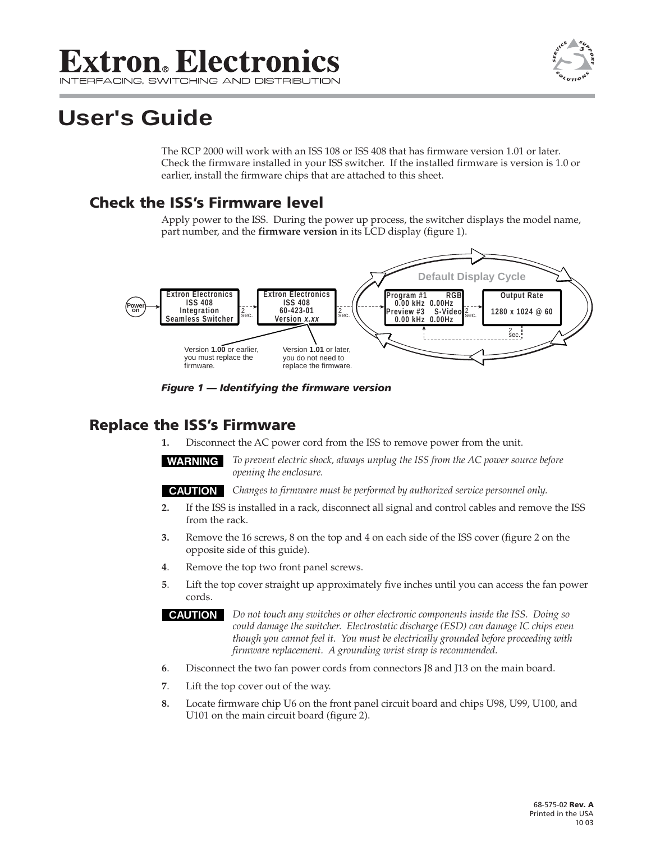## **Extron**. Electronics

## **User's Guide**

The RCP 2000 will work with an ISS 108 or ISS 408 that has firmware version 1.01 or later. Check the firmware installed in your ISS switcher. If the installed firmware is version is 1.0 or earlier, install the firmware chips that are attached to this sheet.

## **Check the ISS's Firmware level**

Apply power to the ISS. During the power up process, the switcher displays the model name, part number, and the **firmware version** in its LCD display (figure 1).



*Figure 1 — Identifying the firmware version*

## **Replace the ISS's Firmware**

**1.** Disconnect the AC power cord from the ISS to remove power from the unit.

*To prevent electric shock, always unplug the ISS from the AC power source before opening the enclosure.*

**CAUTION** *Changes to firmware must be performed by authorized service personnel only.*

- **2.** If the ISS is installed in a rack, disconnect all signal and control cables and remove the ISS from the rack.
- **3.** Remove the 16 screws, 8 on the top and 4 on each side of the ISS cover (figure 2 on the opposite side of this guide).
- **4**. Remove the top two front panel screws.
- **5**. Lift the top cover straight up approximately five inches until you can access the fan power cords.

**CAUTION** *Do not touch any switches or other electronic components inside the ISS. Doing so could damage the switcher. Electrostatic discharge (ESD) can damage IC chips even though you cannot feel it. You must be electrically grounded before proceeding with firmware replacement. A grounding wrist strap is recommended.*

- **6**. Disconnect the two fan power cords from connectors J8 and J13 on the main board.
- **7**. Lift the top cover out of the way.
- **8.** Locate firmware chip U6 on the front panel circuit board and chips U98, U99, U100, and U101 on the main circuit board (figure 2).